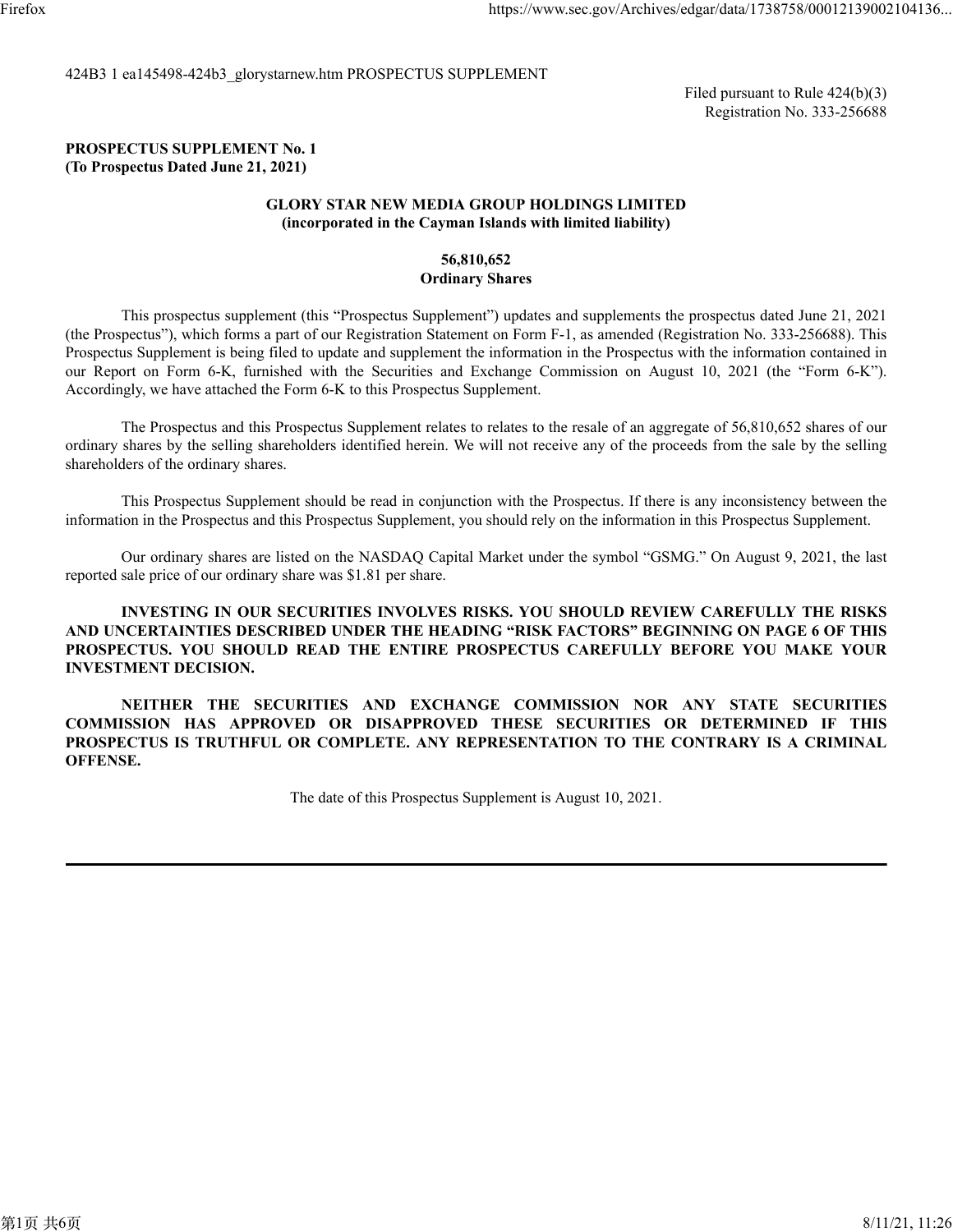424B3 1 ea145498-424b3\_glorystarnew.htm PROSPECTUS SUPPLEMENT

Filed pursuant to Rule 424(b)(3) Registration No. 333-256688

#### **PROSPECTUS SUPPLEMENT No. 1 (To Prospectus Dated June 21, 2021)**

#### **GLORY STAR NEW MEDIA GROUP HOLDINGS LIMITED (incorporated in the Cayman Islands with limited liability)**

#### **56,810,652 Ordinary Shares**

This prospectus supplement (this "Prospectus Supplement") updates and supplements the prospectus dated June 21, 2021 (the Prospectus"), which forms a part of our Registration Statement on Form F-1, as amended (Registration No. 333-256688). This Prospectus Supplement is being filed to update and supplement the information in the Prospectus with the information contained in our Report on Form 6-K, furnished with the Securities and Exchange Commission on August 10, 2021 (the "Form 6-K"). Accordingly, we have attached the Form 6-K to this Prospectus Supplement.

The Prospectus and this Prospectus Supplement relates to relates to the resale of an aggregate of 56,810,652 shares of our ordinary shares by the selling shareholders identified herein. We will not receive any of the proceeds from the sale by the selling shareholders of the ordinary shares.

This Prospectus Supplement should be read in conjunction with the Prospectus. If there is any inconsistency between the information in the Prospectus and this Prospectus Supplement, you should rely on the information in this Prospectus Supplement.

Our ordinary shares are listed on the NASDAQ Capital Market under the symbol "GSMG." On August 9, 2021, the last reported sale price of our ordinary share was \$1.81 per share.

**INVESTING IN OUR SECURITIES INVOLVES RISKS. YOU SHOULD REVIEW CAREFULLY THE RISKS AND UNCERTAINTIES DESCRIBED UNDER THE HEADING "RISK FACTORS" BEGINNING ON PAGE 6 OF THIS PROSPECTUS. YOU SHOULD READ THE ENTIRE PROSPECTUS CAREFULLY BEFORE YOU MAKE YOUR INVESTMENT DECISION.**

**NEITHER THE SECURITIES AND EXCHANGE COMMISSION NOR ANY STATE SECURITIES COMMISSION HAS APPROVED OR DISAPPROVED THESE SECURITIES OR DETERMINED IF THIS PROSPECTUS IS TRUTHFUL OR COMPLETE. ANY REPRESENTATION TO THE CONTRARY IS A CRIMINAL OFFENSE.**

The date of this Prospectus Supplement is August 10, 2021.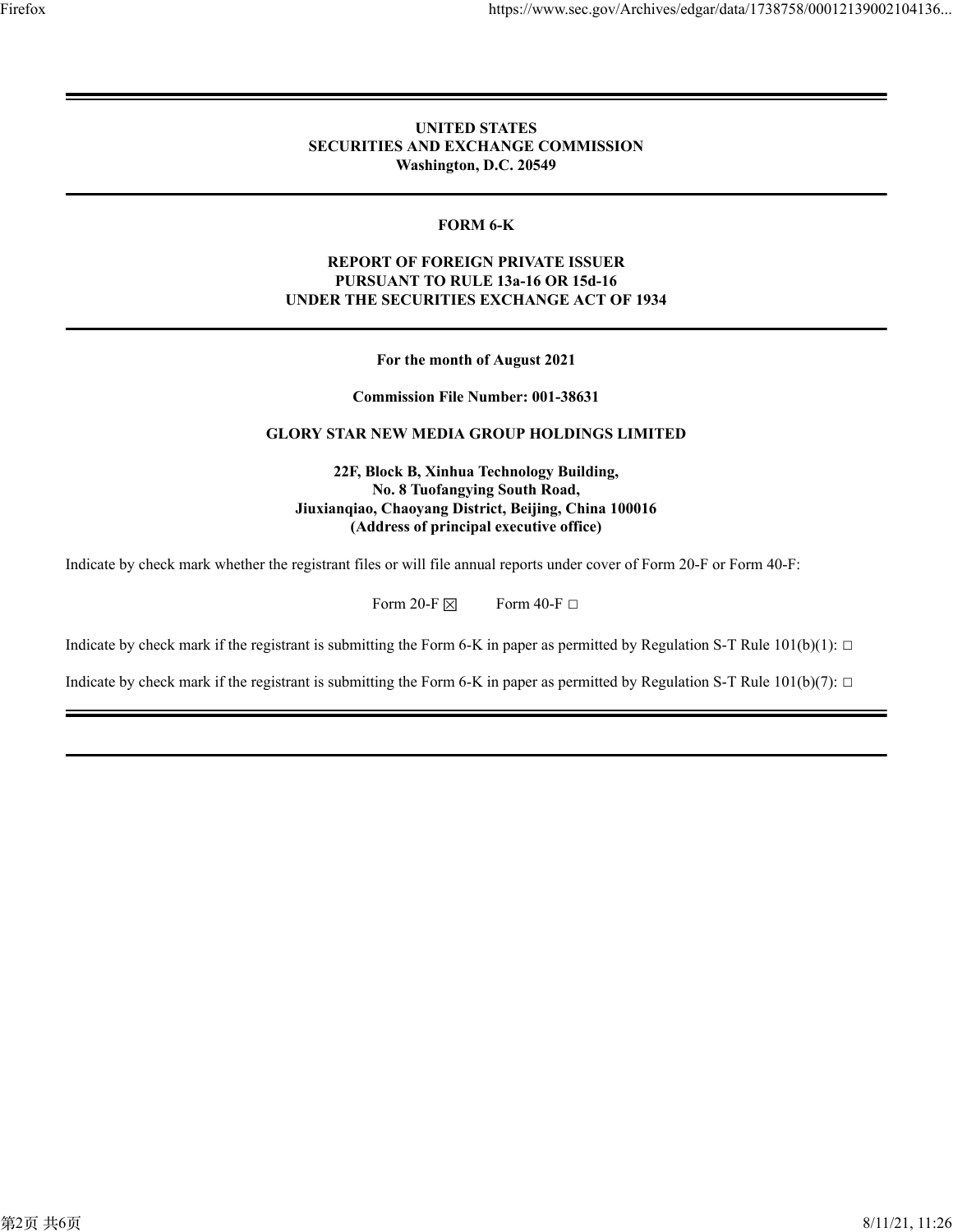#### **UNITED STATES SECURITIES AND EXCHANGE COMMISSION Washington, D.C. 20549**

#### **FORM 6-K**

#### **REPORT OF FOREIGN PRIVATE ISSUER PURSUANT TO RULE 13a-16 OR 15d-16 UNDER THE SECURITIES EXCHANGE ACT OF 1934**

**For the month of August 2021**

**Commission File Number: 001-38631**

#### **GLORY STAR NEW MEDIA GROUP HOLDINGS LIMITED**

**22F, Block B, Xinhua Technology Building, No. 8 Tuofangying South Road, Jiuxianqiao, Chaoyang District, Beijing, China 100016 (Address of principal executive office)**

Indicate by check mark whether the registrant files or will file annual reports under cover of Form 20-F or Form 40-F:

Form 20-F  $\boxtimes$  Form 40-F  $\Box$ 

Indicate by check mark if the registrant is submitting the Form 6-K in paper as permitted by Regulation S-T Rule  $101(b)(1)$ :  $\Box$ 

Indicate by check mark if the registrant is submitting the Form 6-K in paper as permitted by Regulation S-T Rule  $101(b)(7)$ :  $\Box$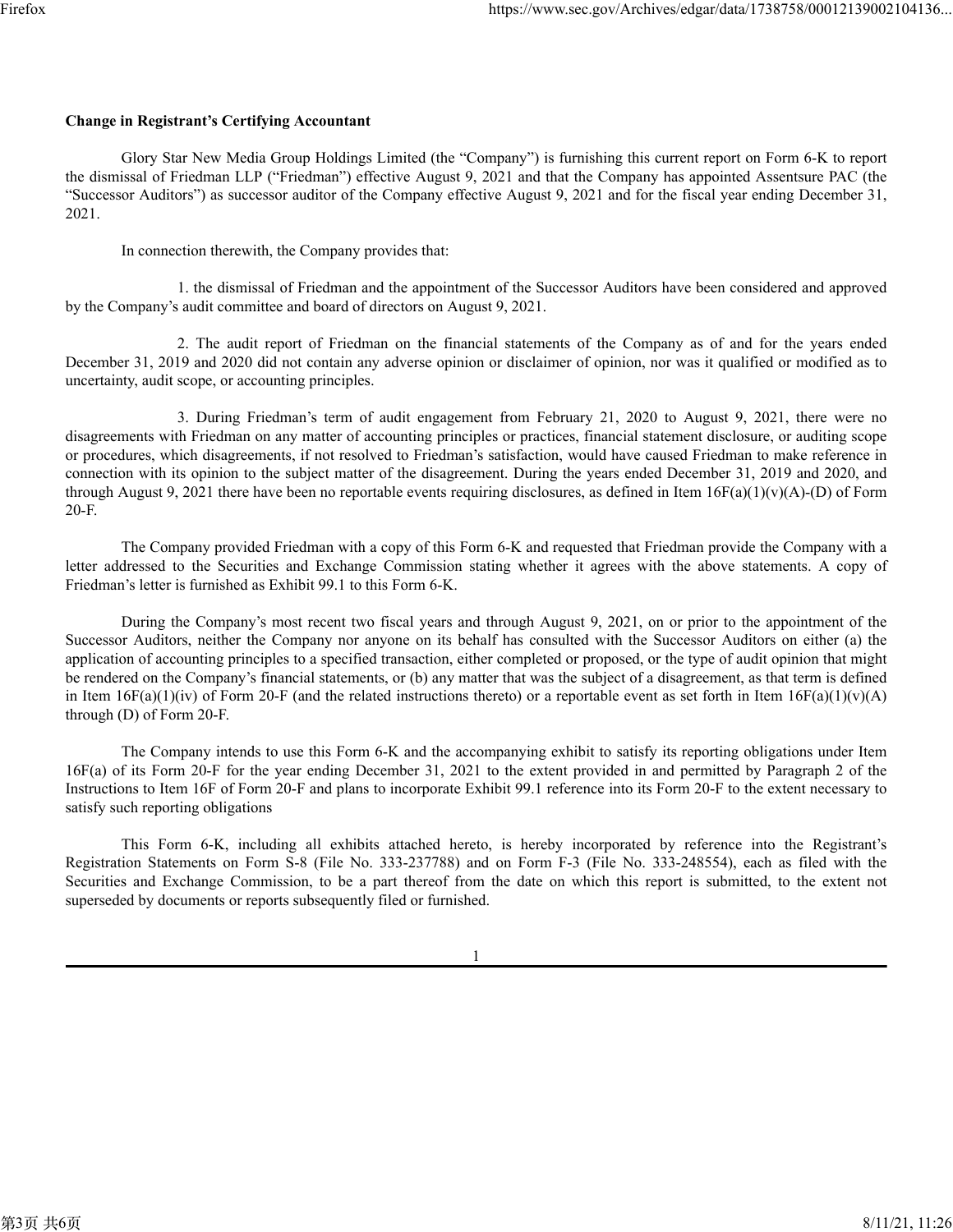#### **Change in Registrant's Certifying Accountant**

Glory Star New Media Group Holdings Limited (the "Company") is furnishing this current report on Form 6-K to report the dismissal of Friedman LLP ("Friedman") effective August 9, 2021 and that the Company has appointed Assentsure PAC (the "Successor Auditors") as successor auditor of the Company effective August 9, 2021 and for the fiscal year ending December 31, 2021.

In connection therewith, the Company provides that:

1. the dismissal of Friedman and the appointment of the Successor Auditors have been considered and approved by the Company's audit committee and board of directors on August 9, 2021.

2. The audit report of Friedman on the financial statements of the Company as of and for the years ended December 31, 2019 and 2020 did not contain any adverse opinion or disclaimer of opinion, nor was it qualified or modified as to uncertainty, audit scope, or accounting principles.

3. During Friedman's term of audit engagement from February 21, 2020 to August 9, 2021, there were no disagreements with Friedman on any matter of accounting principles or practices, financial statement disclosure, or auditing scope or procedures, which disagreements, if not resolved to Friedman's satisfaction, would have caused Friedman to make reference in connection with its opinion to the subject matter of the disagreement. During the years ended December 31, 2019 and 2020, and through August 9, 2021 there have been no reportable events requiring disclosures, as defined in Item  $16F(a)(1)(v)(A)-D$  of Form 20-F.

The Company provided Friedman with a copy of this Form 6-K and requested that Friedman provide the Company with a letter addressed to the Securities and Exchange Commission stating whether it agrees with the above statements. A copy of Friedman's letter is furnished as Exhibit 99.1 to this Form 6-K.

During the Company's most recent two fiscal years and through August 9, 2021, on or prior to the appointment of the Successor Auditors, neither the Company nor anyone on its behalf has consulted with the Successor Auditors on either (a) the application of accounting principles to a specified transaction, either completed or proposed, or the type of audit opinion that might be rendered on the Company's financial statements, or (b) any matter that was the subject of a disagreement, as that term is defined in Item  $16F(a)(1)(iv)$  of Form 20-F (and the related instructions thereto) or a reportable event as set forth in Item  $16F(a)(1)(v)(A)$ through (D) of Form 20-F.

The Company intends to use this Form 6-K and the accompanying exhibit to satisfy its reporting obligations under Item 16F(a) of its Form 20-F for the year ending December 31, 2021 to the extent provided in and permitted by Paragraph 2 of the Instructions to Item 16F of Form 20-F and plans to incorporate Exhibit 99.1 reference into its Form 20-F to the extent necessary to satisfy such reporting obligations

This Form 6-K, including all exhibits attached hereto, is hereby incorporated by reference into the Registrant's Registration Statements on Form S-8 (File No. 333-237788) and on Form F-3 (File No. 333-248554), each as filed with the Securities and Exchange Commission, to be a part thereof from the date on which this report is submitted, to the extent not superseded by documents or reports subsequently filed or furnished.

1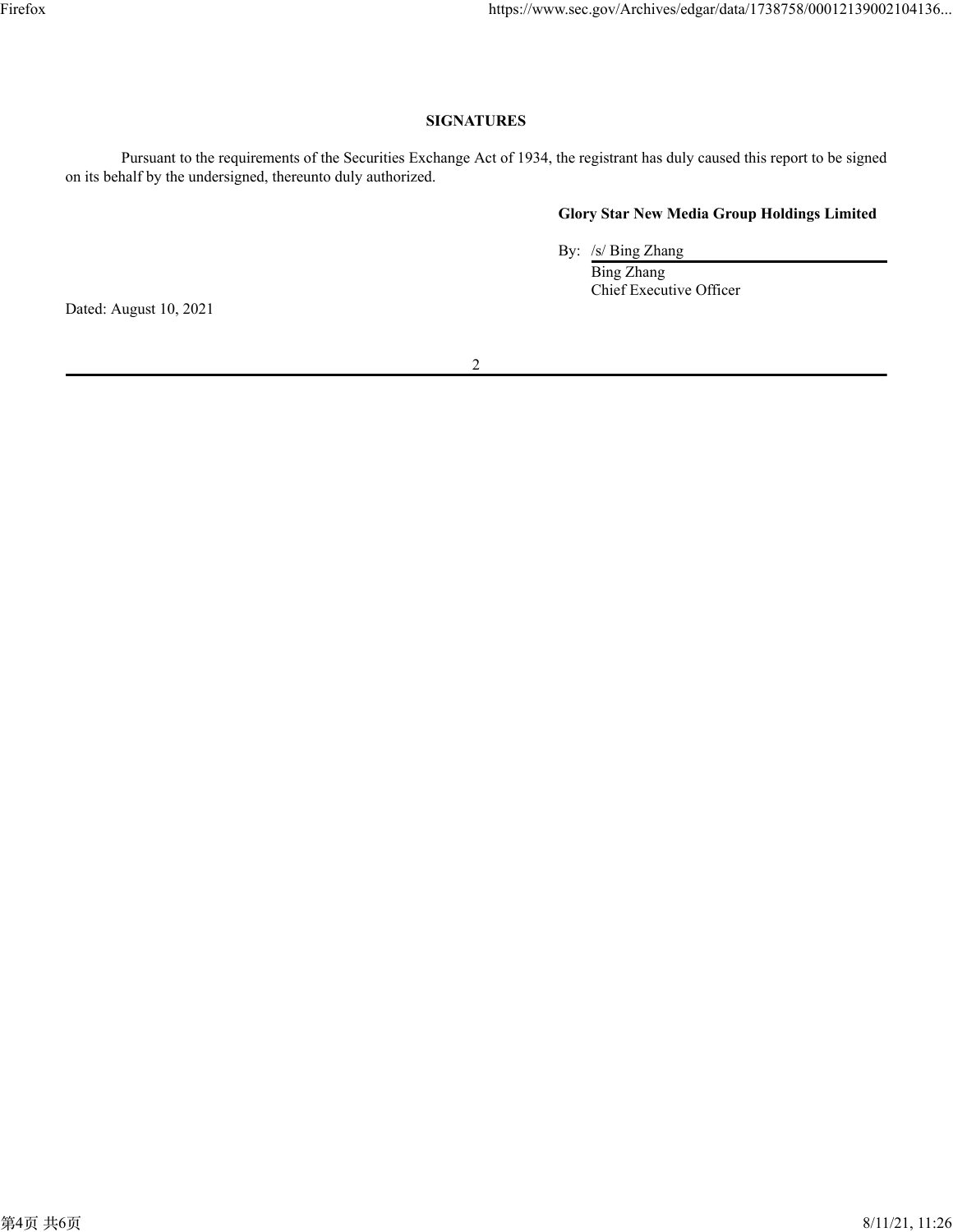### **SIGNATURES**

Pursuant to the requirements of the Securities Exchange Act of 1934, the registrant has duly caused this report to be signed on its behalf by the undersigned, thereunto duly authorized.

#### **Glory Star New Media Group Holdings Limited**

By: /s/ Bing Zhang

Bing Zhang Chief Executive Officer

Dated: August 10, 2021

2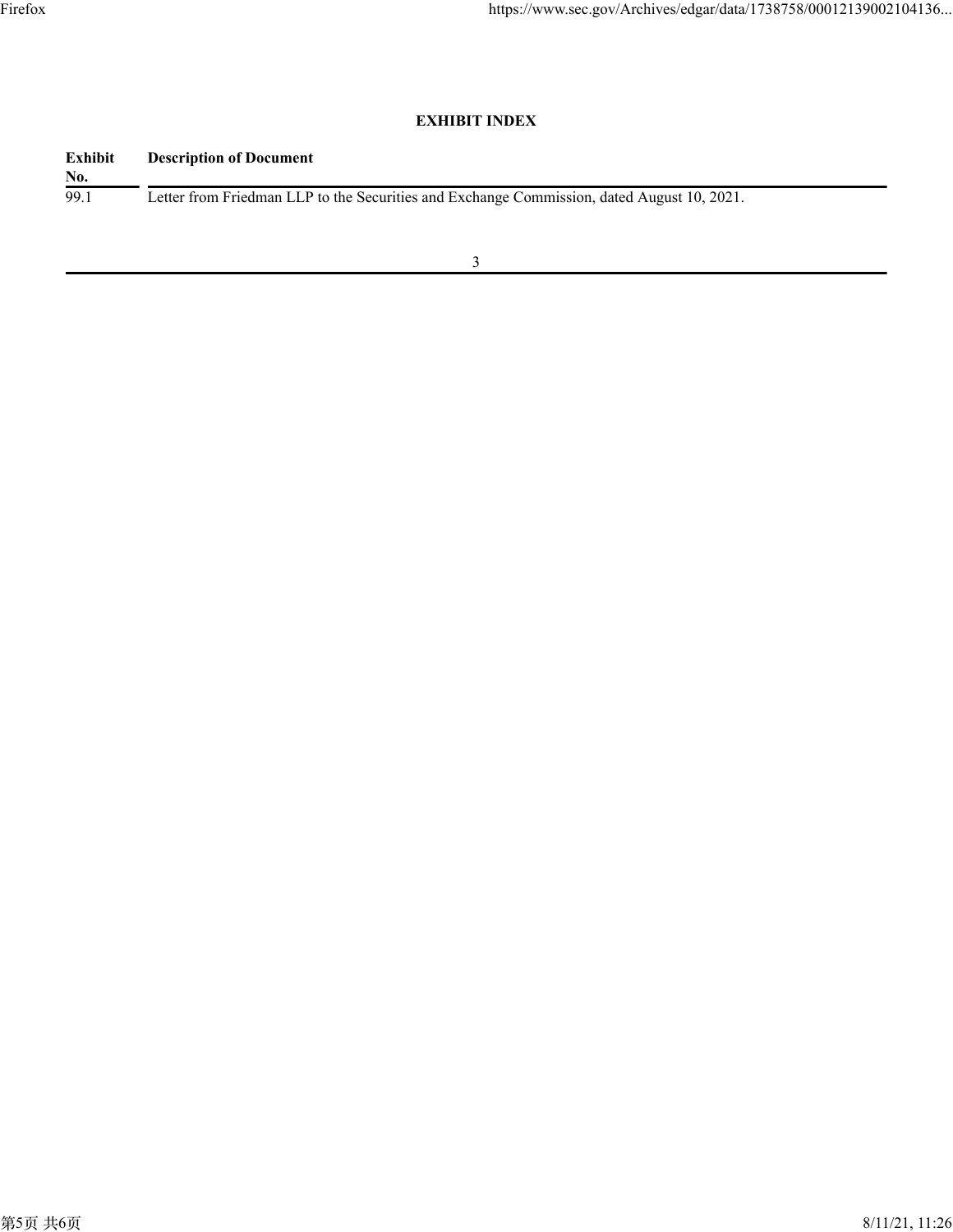## **EXHIBIT INDEX**

| Exhibit | <b>Description of Document</b>                                                             |
|---------|--------------------------------------------------------------------------------------------|
| No.     |                                                                                            |
| 99.1    | Letter from Friedman LLP to the Securities and Exchange Commission, dated August 10, 2021. |
|         |                                                                                            |